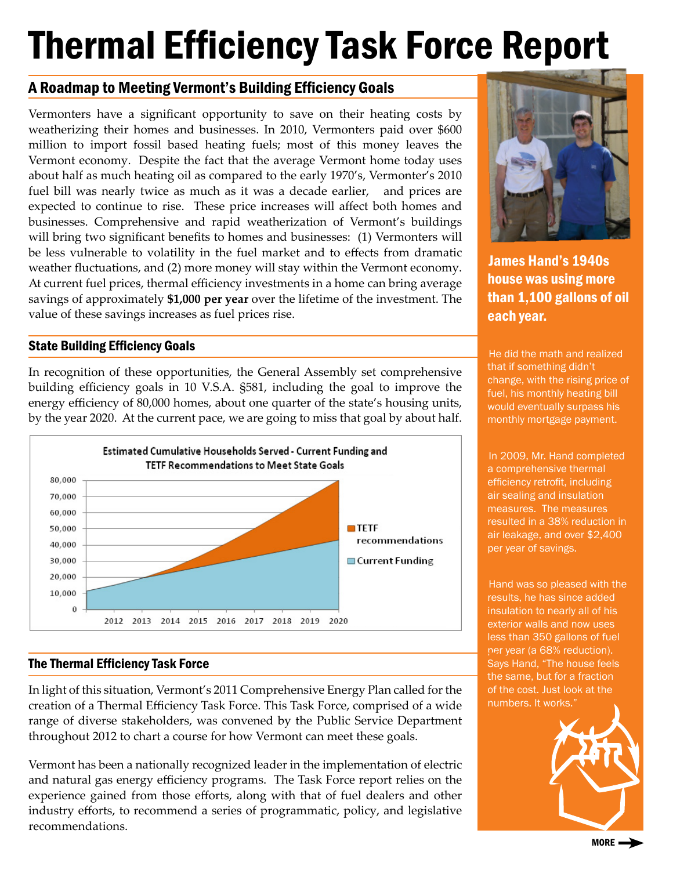# Thermal Efficiency Task Force Report

## A Roadmap to Meeting Vermont's Building Efficiency Goals

Vermonters have a significant opportunity to save on their heating costs by weatherizing their homes and businesses. In 2010, Vermonters paid over \$600 million to import fossil based heating fuels; most of this money leaves the Vermont economy. Despite the fact that the average Vermont home today uses about half as much heating oil as compared to the early 1970's, Vermonter's 2010 fuel bill was nearly twice as much as it was a decade earlier, and prices are expected to continue to rise. These price increases will affect both homes and businesses. Comprehensive and rapid weatherization of Vermont's buildings will bring two significant benefits to homes and businesses: (1) Vermonters will be less vulnerable to volatility in the fuel market and to effects from dramatic weather fluctuations, and (2) more money will stay within the Vermont economy. At current fuel prices, thermal efficiency investments in a home can bring average savings of approximately **\$1,000 per year** over the lifetime of the investment. The value of these savings increases as fuel prices rise.

## State Building Efficiency Goals

In recognition of these opportunities, the General Assembly set comprehensive building efficiency goals in 10 V.S.A. §581, including the goal to improve the energy efficiency of 80,000 homes, about one quarter of the state's housing units, by the year 2020. At the current pace, we are going to miss that goal by about half.



## The Thermal Efficiency Task Force

In light of this situation, Vermont's 2011 Comprehensive Energy Plan called for the creation of a Thermal Efficiency Task Force. This Task Force, comprised of a wide range of diverse stakeholders, was convened by the Public Service Department throughout 2012 to chart a course for how Vermont can meet these goals.

Vermont has been a nationally recognized leader in the implementation of electric and natural gas energy efficiency programs. The Task Force report relies on the experience gained from those efforts, along with that of fuel dealers and other industry efforts, to recommend a series of programmatic, policy, and legislative recommendations.



James Hand's 1940s house was using more than 1,100 gallons of oil each year.

He did the math and realized that if something didn't change, with the rising price of fuel, his monthly heating bill would eventually surpass his monthly mortgage payment.

In 2009, Mr. Hand completed a comprehensive thermal efficiency retrofit, including air sealing and insulation measures. The measures resulted in a 38% reduction in air leakage, and over \$2,400 per year of savings.

Hand was so pleased with the results, he has since added insulation to nearly all of his exterior walls and now uses less than 350 gallons of fuel per year (a 68% reduction). Says Hand, "The house feels the same, but for a fraction of the cost. Just look at the numbers. It works."



MORE  $\rightarrow$